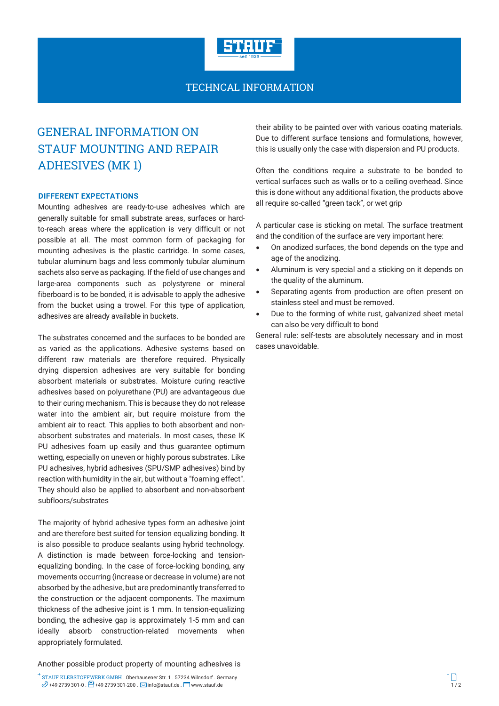

### TECHNCAL INFORMATION

# GENERAL INFORMATION ON STAUF MOUNTING AND REPAIR ADHESIVES (MK 1)

#### **DIFFERENT EXPECTATIONS**

Mounting adhesives are ready-to-use adhesives which are generally suitable for small substrate areas, surfaces or hardto-reach areas where the application is very difficult or not possible at all. The most common form of packaging for mounting adhesives is the plastic cartridge. In some cases, tubular aluminum bags and less commonly tubular aluminum sachets also serve as packaging. If the field of use changes and large-area components such as polystyrene or mineral fiberboard is to be bonded, it is advisable to apply the adhesive from the bucket using a trowel. For this type of application, adhesives are already available in buckets.

The substrates concerned and the surfaces to be bonded are as varied as the applications. Adhesive systems based on different raw materials are therefore required. Physically drying dispersion adhesives are very suitable for bonding absorbent materials or substrates. Moisture curing reactive adhesives based on polyurethane (PU) are advantageous due to their curing mechanism. This is because they do not release water into the ambient air, but require moisture from the ambient air to react. This applies to both absorbent and nonabsorbent substrates and materials. In most cases, these IK PU adhesives foam up easily and thus guarantee optimum wetting, especially on uneven or highly porous substrates. Like PU adhesives, hybrid adhesives (SPU/SMP adhesives) bind by reaction with humidity in the air, but without a "foaming effect". They should also be applied to absorbent and non-absorbent subfloors/substrates

The majority of hybrid adhesive types form an adhesive joint and are therefore best suited for tension equalizing bonding. It is also possible to produce sealants using hybrid technology. A distinction is made between force-locking and tensionequalizing bonding. In the case of force-locking bonding, any movements occurring (increase or decrease in volume) are not absorbed by the adhesive, but are predominantly transferred to the construction or the adjacent components. The maximum thickness of the adhesive joint is 1 mm. In tension-equalizing bonding, the adhesive gap is approximately 1-5 mm and can ideally absorb construction-related movements when appropriately formulated.

Another possible product property of mounting adhesives is

their ability to be painted over with various coating materials. Due to different surface tensions and formulations, however, this is usually only the case with dispersion and PU products.

Often the conditions require a substrate to be bonded to vertical surfaces such as walls or to a ceiling overhead. Since this is done without any additional fixation, the products above all require so-called "green tack", or wet grip

A particular case is sticking on metal. The surface treatment and the condition of the surface are very important here:

- · On anodized surfaces, the bond depends on the type and age of the anodizing.
- Aluminum is very special and a sticking on it depends on the quality of the aluminum.
- Separating agents from production are often present on stainless steel and must be removed.
- Due to the forming of white rust, galvanized sheet metal can also be very difficult to bond

General rule: self-tests are absolutely necessary and in most cases unavoidable.

STAUF KLEBSTOFFWERK GMBH . Oberhausener Str. 1 . 57234 Wilnsdorf . Germany  $\mathbb{Z}$  +49 2739 301-0 .  $\boxdot$  +  $\Box$  +49 2739 301-200 .  $\boxdot$  info@stauf.de .  $\Box$  www.stauf.de . wew.stauf.de 1 / 2